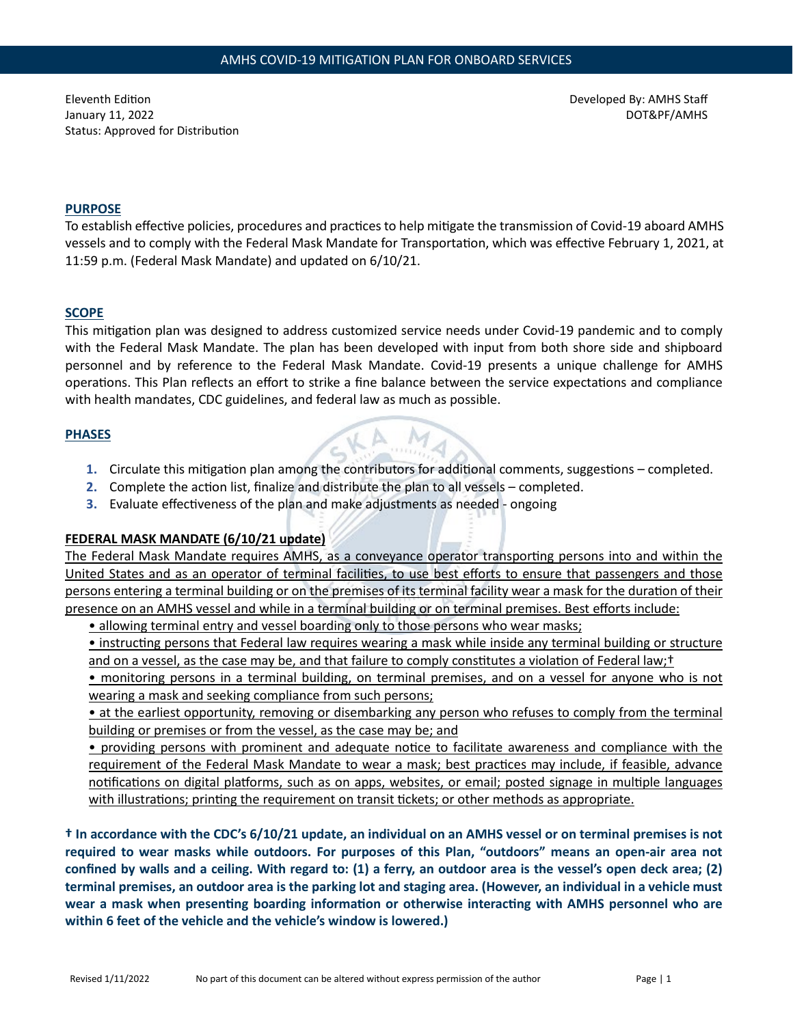Eleventh Edi�on January 11, 2022 Status: Approved for Distribution Developed By: AMHS Staff DOT&PF/AMHS

### **PURPOSE**

To establish effective policies, procedures and practices to help mitigate the transmission of Covid-19 aboard AMHS vessels and to comply with the Federal Mask Mandate for Transportation, which was effective February 1, 2021, at 11:59 p.m. (Federal Mask Mandate) and updated on 6/10/21.

#### **SCOPE**

This mitigation plan was designed to address customized service needs under Covid-19 pandemic and to comply with the Federal Mask Mandate. The plan has been developed with input from both shore side and shipboard personnel and by reference to the Federal Mask Mandate. Covid-19 presents a unique challenge for AMHS operations. This Plan reflects an effort to strike a fine balance between the service expectations and compliance with health mandates, CDC guidelines, and federal law as much as possible.

#### **PHASES**

- 1. Circulate this mitigation plan among the contributors for additional comments, suggestions completed.
- **2.** Complete the action list, finalize and distribute the plan to all vessels completed.
- **3.** Evaluate effectiveness of the plan and make adjustments as needed ongoing

# **FEDERAL MASK MANDATE (6/10/21 update)**

The Federal Mask Mandate requires AMHS, as a conveyance operator transporting persons into and within the United States and as an operator of terminal facili�es, to use best efforts to ensure that passengers and those persons entering a terminal building or on the premises of its terminal facility wear a mask for the duration of their presence on an AMHS vessel and while in a terminal building or on terminal premises. Best efforts include:

• allowing terminal entry and vessel boarding only to those persons who wear masks;

• instructing persons that Federal law requires wearing a mask while inside any terminal building or structure and on a vessel, as the case may be, and that failure to comply constitutes a violation of Federal law;<sup>†</sup>

• monitoring persons in a terminal building, on terminal premises, and on a vessel for anyone who is not wearing a mask and seeking compliance from such persons;

• at the earliest opportunity, removing or disembarking any person who refuses to comply from the terminal building or premises or from the vessel, as the case may be; and

• providing persons with prominent and adequate notice to facilitate awareness and compliance with the requirement of the Federal Mask Mandate to wear a mask; best practices may include, if feasible, advance notifications on digital platforms, such as on apps, websites, or email; posted signage in multiple languages with illustrations; printing the requirement on transit tickets; or other methods as appropriate.

**† In accordance with the CDC's 6/10/21 update, an individual on an AMHS vessel or on terminal premises is not required to wear masks while outdoors. For purposes of this Plan, "outdoors" means an open-air area not confined by walls and a ceiling. With regard to: (1) a ferry, an outdoor area is the vessel's open deck area; (2) terminal premises, an outdoor area is the parking lot and staging area. (However, an individual in a vehicle must**  wear a mask when presenting boarding information or otherwise interacting with AMHS personnel who are **within 6 feet of the vehicle and the vehicle's window is lowered.)**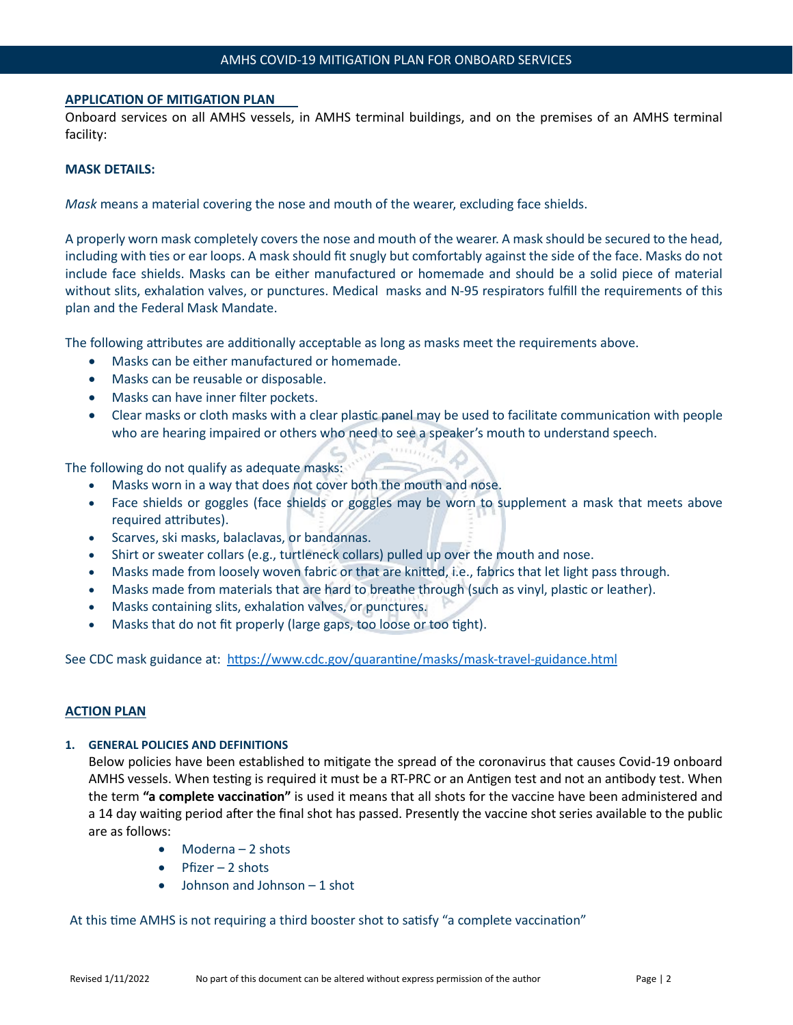#### **APPLICATION OF MITIGATION PLAN**

Onboard services on all AMHS vessels, in AMHS terminal buildings, and on the premises of an AMHS terminal facility:

#### **MASK DETAILS:**

*Mask* means a material covering the nose and mouth of the wearer, excluding face shields.

A properly worn mask completely covers the nose and mouth of the wearer. A mask should be secured to the head, including with ties or ear loops. A mask should fit snugly but comfortably against the side of the face. Masks do not include face shields. Masks can be either manufactured or homemade and should be a solid piece of material without slits, exhalation valves, or punctures. Medical masks and N-95 respirators fulfill the requirements of this plan and the Federal Mask Mandate.

The following attributes are additionally acceptable as long as masks meet the requirements above.

- Masks can be either manufactured or homemade.
- Masks can be reusable or disposable.
- Masks can have inner filter pockets.
- Clear masks or cloth masks with a clear plastic panel may be used to facilitate communication with people who are hearing impaired or others who need to see a speaker's mouth to understand speech.

The following do not qualify as adequate masks:

- Masks worn in a way that does not cover both the mouth and nose.
- Face shields or goggles (face shields or goggles may be worn to supplement a mask that meets above required atributes).
- Scarves, ski masks, balaclavas, or bandannas.
- Shirt or sweater collars (e.g., turtleneck collars) pulled up over the mouth and nose.
- Masks made from loosely woven fabric or that are knited, i.e., fabrics that let light pass through.
- Masks made from materials that are hard to breathe through (such as vinyl, plastic or leather).
- Masks containing slits, exhalation valves, or punctures.
- Masks that do not fit properly (large gaps, too loose or too tight).

See CDC mask guidance at: https://www.cdc.gov/quarantine/masks/mask-travel-guidance.html

#### **ACTION PLAN**

#### **1. GENERAL POLICIES AND DEFINITIONS**

Below policies have been established to mitigate the spread of the coronavirus that causes Covid-19 onboard AMHS vessels. When testing is required it must be a RT-PRC or an Antigen test and not an antibody test. When the term **"a complete vaccina�on"** is used it means that all shots for the vaccine have been administered and a 14 day waiting period after the final shot has passed. Presently the vaccine shot series available to the public are as follows:

- Moderna 2 shots
- Pfizer 2 shots
- Johnson and Johnson 1 shot

At this time AMHS is not requiring a third booster shot to satisfy "a complete vaccination"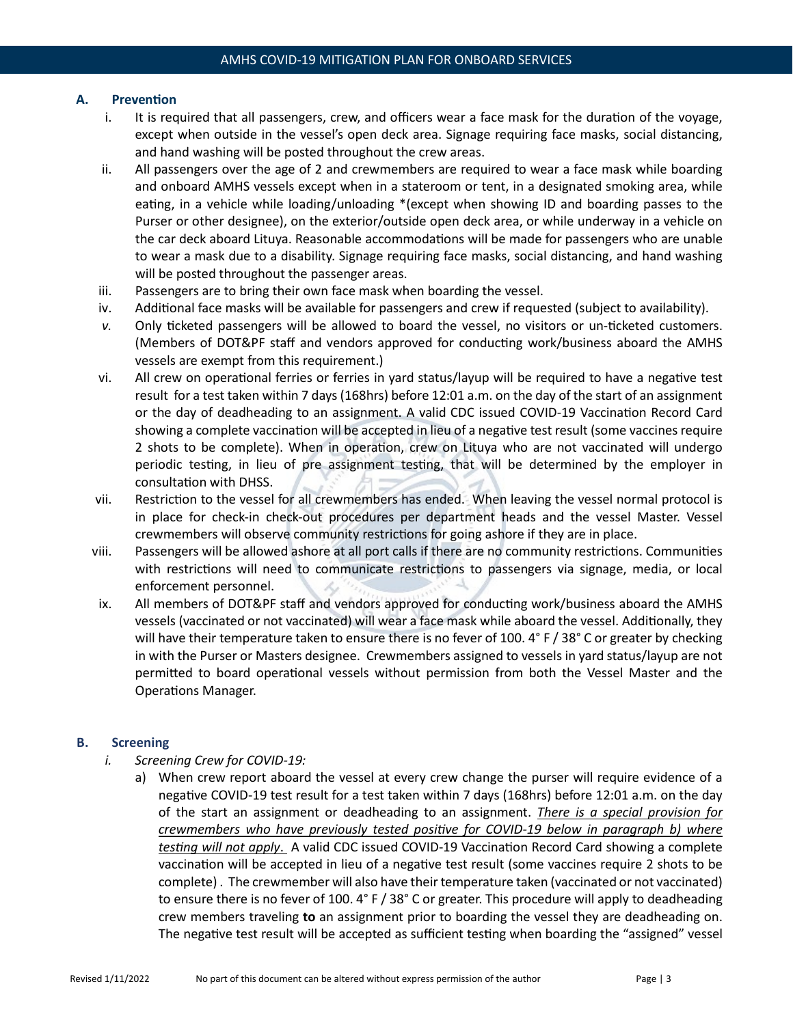## **A. Prevention**

- i. It is required that all passengers, crew, and officers wear a face mask for the duration of the voyage, except when outside in the vessel's open deck area. Signage requiring face masks, social distancing, and hand washing will be posted throughout the crew areas.
- ii. All passengers over the age of 2 and crewmembers are required to wear a face mask while boarding and onboard AMHS vessels except when in a stateroom or tent, in a designated smoking area, while eating, in a vehicle while loading/unloading \*(except when showing ID and boarding passes to the Purser or other designee), on the exterior/outside open deck area, or while underway in a vehicle on the car deck aboard Lituya. Reasonable accommodations will be made for passengers who are unable to wear a mask due to a disability. Signage requiring face masks, social distancing, and hand washing will be posted throughout the passenger areas.
- iii. Passengers are to bring their own face mask when boarding the vessel.
- iv. Additional face masks will be available for passengers and crew if requested (subject to availability).
- *v.* Only ticketed passengers will be allowed to board the vessel, no visitors or un-ticketed customers. (Members of DOT&PF staff and vendors approved for conducting work/business aboard the AMHS vessels are exempt from this requirement.)
- vi. All crew on operational ferries or ferries in yard status/layup will be required to have a negative test result for a test taken within 7 days (168hrs) before 12:01 a.m. on the day of the start of an assignment or the day of deadheading to an assignment. A valid CDC issued COVID-19 Vaccination Record Card showing a complete vaccination will be accepted in lieu of a negative test result (some vaccines require 2 shots to be complete). When in operation, crew on Lituya who are not vaccinated will undergo periodic testing, in lieu of pre assignment testing, that will be determined by the employer in consultation with DHSS.
- vii. Restriction to the vessel for all crewmembers has ended. When leaving the vessel normal protocol is in place for check-in check-out procedures per department heads and the vessel Master. Vessel crewmembers will observe community restrictions for going ashore if they are in place.
- viii. Passengers will be allowed ashore at all port calls if there are no community restrictions. Communities with restrictions will need to communicate restrictions to passengers via signage, media, or local enforcement personnel.
- ix. All members of DOT&PF staff and vendors approved for conducting work/business aboard the AMHS vessels (vaccinated or not vaccinated) will wear a face mask while aboard the vessel. Additionally, they will have their temperature taken to ensure there is no fever of 100. 4° F / 38° C or greater by checking in with the Purser or Masters designee. Crewmembers assigned to vessels in yard status/layup are not permitted to board operational vessels without permission from both the Vessel Master and the Operations Manager.

### **B. Screening**

- *i. Screening Crew for COVID-19:* 
	- a) When crew report aboard the vessel at every crew change the purser will require evidence of a negative COVID-19 test result for a test taken within 7 days (168hrs) before 12:01 a.m. on the day of the start an assignment or deadheading to an assignment. *There is a special provision for crewmembers who have previously tested positive for COVID-19 below in paragraph b) where testing will not apply*. A valid CDC issued COVID-19 Vaccina�on Record Card showing a complete vaccination will be accepted in lieu of a negative test result (some vaccines require 2 shots to be complete). The crewmember will also have their temperature taken (vaccinated or not vaccinated) to ensure there is no fever of 100. 4° F / 38° C or greater. This procedure will apply to deadheading crew members traveling **to** an assignment prior to boarding the vessel they are deadheading on. The negative test result will be accepted as sufficient testing when boarding the "assigned" vessel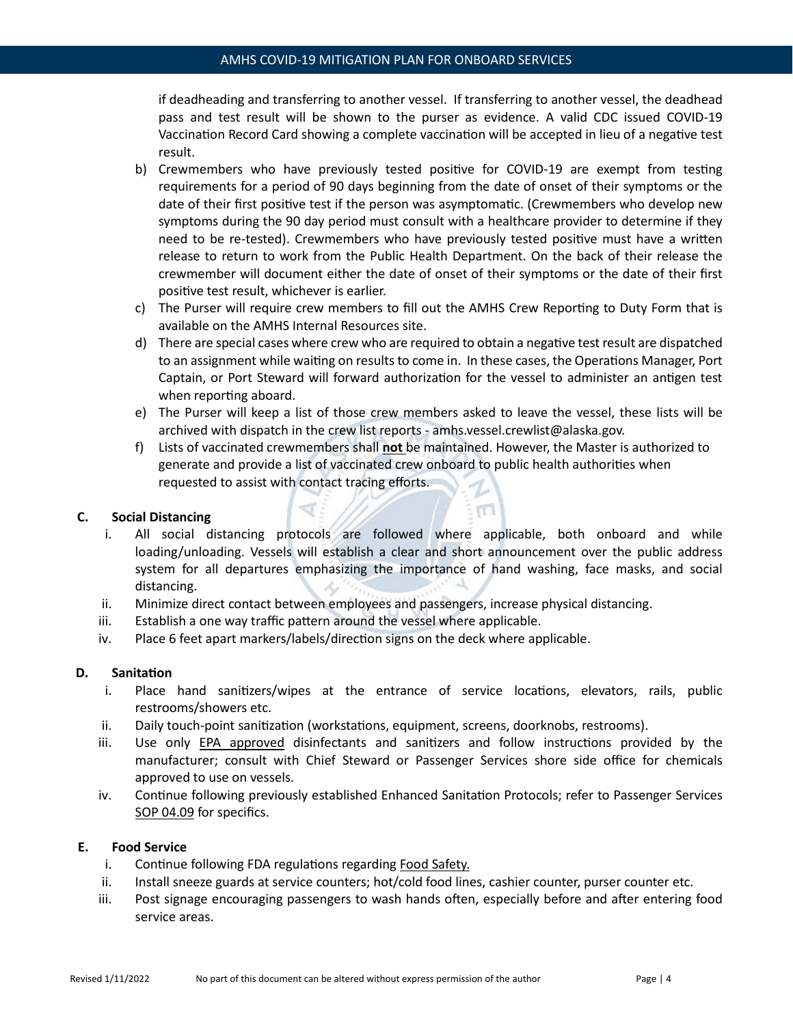if deadheading and transferring to another vessel. If transferring to another vessel, the deadhead pass and test result will be shown to the purser as evidence. A valid CDC issued COVID-19 Vaccination Record Card showing a complete vaccination will be accepted in lieu of a negative test result.

- b) Crewmembers who have previously tested positive for COVID-19 are exempt from testing requirements for a period of 90 days beginning from the date of onset of their symptoms or the date of their first positive test if the person was asymptomatic. (Crewmembers who develop new symptoms during the 90 day period must consult with a healthcare provider to determine if they need to be re-tested). Crewmembers who have previously tested positive must have a written release to return to work from the Public Health Department. On the back of their release the crewmember will document either the date of onset of their symptoms or the date of their first positive test result, whichever is earlier.
- c) The Purser will require crew members to fill out the AMHS Crew Reporting to Duty Form that is available on the AMHS Internal Resources site.
- d) There are special cases where crew who are required to obtain a negative test result are dispatched to an assignment while waiting on results to come in. In these cases, the Operations Manager, Port Captain, or Port Steward will forward authorization for the vessel to administer an antigen test when reporting aboard.
- e) The Purser will keep a list of those crew members asked to leave the vessel, these lists will be archived with dispatch in the crew list reports - amhs.vessel.crewlist@alaska.gov.
- f) Lists of vaccinated crewmembers shall **not** be maintained. However, the Master is authorized to generate and provide a list of vaccinated crew onboard to public health authorities when requested to assist with contact tracing efforts.

m

### **C. Social Distancing**

- i. All social distancing protocols are followed where applicable, both onboard and while loading/unloading. Vessels will establish a clear and short announcement over the public address system for all departures emphasizing the importance of hand washing, face masks, and social distancing.
- ii. Minimize direct contact between employees and passengers, increase physical distancing.
- iii. Establish a one way traffic patern around the vessel where applicable.
- iv. Place 6 feet apart markers/labels/direction signs on the deck where applicable.

### **D.** Sanitation

- i. Place hand sanitizers/wipes at the entrance of service locations, elevators, rails, public restrooms/showers etc.
- ii. Daily touch-point sanitization (workstations, equipment, screens, doorknobs, restrooms).
- iii. Use only [EPA approved](https://www.epa.gov/pesticide-registration/list-n-disinfectants-use-against-sars-cov-2) disinfectants and sanitizers and follow instructions provided by the manufacturer; consult with Chief Steward or Passenger Services shore side office for chemicals approved to use on vessels.
- iv. Continue following previously established Enhanced Sanitation Protocols; refer to Passenger Services [SOP 04.09](https://web.dot.state.ak.us/amhs/pubs/ps_pp/04_09.pdf) for specifics.

### **E. Food Service**

- i. Continue following FDA regulations regarding [Food Safety.](https://www.fda.gov/food/food-safety-during-emergencies/food-safety-and-coronavirus-disease-2019-covid-19)
- ii. Install sneeze guards at service counters; hot/cold food lines, cashier counter, purser counter etc.
- iii. Post signage encouraging passengers to wash hands often, especially before and after entering food service areas.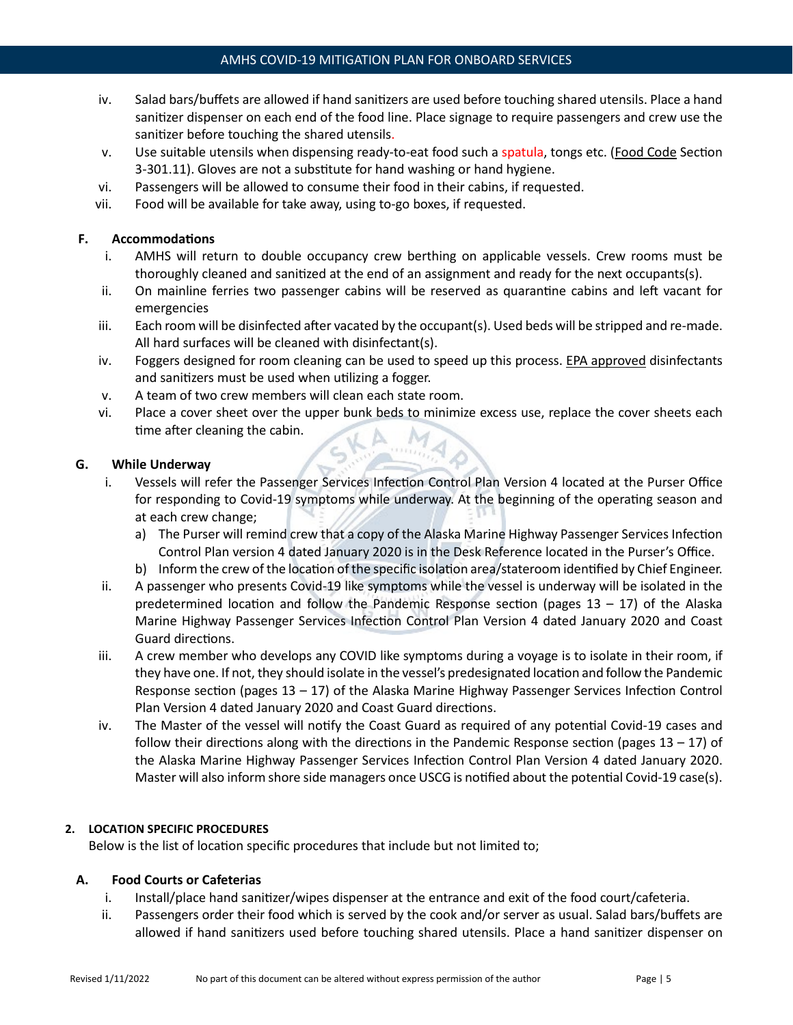- iv. Salad bars/buffets are allowed if hand sanitizers are used before touching shared utensils. Place a hand sanitizer dispenser on each end of the food line. Place signage to require passengers and crew use the sanitizer before touching the shared utensils.
- v. Use suitable utensils when dispensing ready-to-eat food such a spatula, tongs etc. [\(Food Code](https://www.fda.gov/food/fda-food-code/food-code-2017) Section 3-301.11). Gloves are not a substitute for hand washing or hand hygiene.
- vi. Passengers will be allowed to consume their food in their cabins, if requested.
- vii. Food will be available for take away, using to-go boxes, if requested.

# **F. Accommodations**

- i. AMHS will return to double occupancy crew berthing on applicable vessels. Crew rooms must be thoroughly cleaned and sanitized at the end of an assignment and ready for the next occupants(s).
- ii. On mainline ferries two passenger cabins will be reserved as quarantine cabins and left vacant for emergencies
- iii. Each room will be disinfected after vacated by the occupant(s). Used beds will be stripped and re-made. All hard surfaces will be cleaned with disinfectant(s).
- iv. Foggers designed for room cleaning can be used to speed up this process. [EPA approved](https://www.epa.gov/pesticide-registration/list-n-disinfectants-use-against-sars-cov-2) disinfectants and sanitizers must be used when utilizing a fogger.
- v. A team of two crew members will clean each state room.
- vi. Place a cover sheet over the upper bunk beds to minimize excess use, replace the cover sheets each time after cleaning the cabin.

## **G. While Underway**

- i. Vessels will refer the Passenger Services Infection Control Plan Version 4 located at the Purser Office for responding to Covid-19 symptoms while underway. At the beginning of the operating season and at each crew change;
	- a) The Purser will remind crew that a copy of the Alaska Marine Highway Passenger Services Infection Control Plan version 4 dated January 2020 is in the Desk Reference located in the Purser's Office.
	- b) Inform the crew of the location of the specific isolation area/stateroom identified by Chief Engineer.
- ii. A passenger who presents Covid-19 like symptoms while the vessel is underway will be isolated in the predetermined location and follow the Pandemic Response section (pages  $13 - 17$ ) of the Alaska Marine Highway Passenger Services Infection Control Plan Version 4 dated January 2020 and Coast Guard directions.
- iii. A crew member who develops any COVID like symptoms during a voyage is to isolate in their room, if they have one. If not, they should isolate in the vessel's predesignated location and follow the Pandemic Response section (pages  $13 - 17$ ) of the Alaska Marine Highway Passenger Services Infection Control Plan Version 4 dated January 2020 and Coast Guard directions.
- iv. The Master of the vessel will notify the Coast Guard as required of any potential Covid-19 cases and follow their directions along with the directions in the Pandemic Response section (pages  $13 - 17$ ) of the Alaska Marine Highway Passenger Services Infection Control Plan Version 4 dated January 2020. Master will also inform shore side managers once USCG is notified about the potential Covid-19 case(s).

# **2. LOCATION SPECIFIC PROCEDURES**

Below is the list of location specific procedures that include but not limited to;

### **A. Food Courts or Cafeterias**

- i. Install/place hand sanitizer/wipes dispenser at the entrance and exit of the food court/cafeteria.
- ii. Passengers order their food which is served by the cook and/or server as usual. Salad bars/buffets are allowed if hand sanitizers used before touching shared utensils. Place a hand sanitizer dispenser on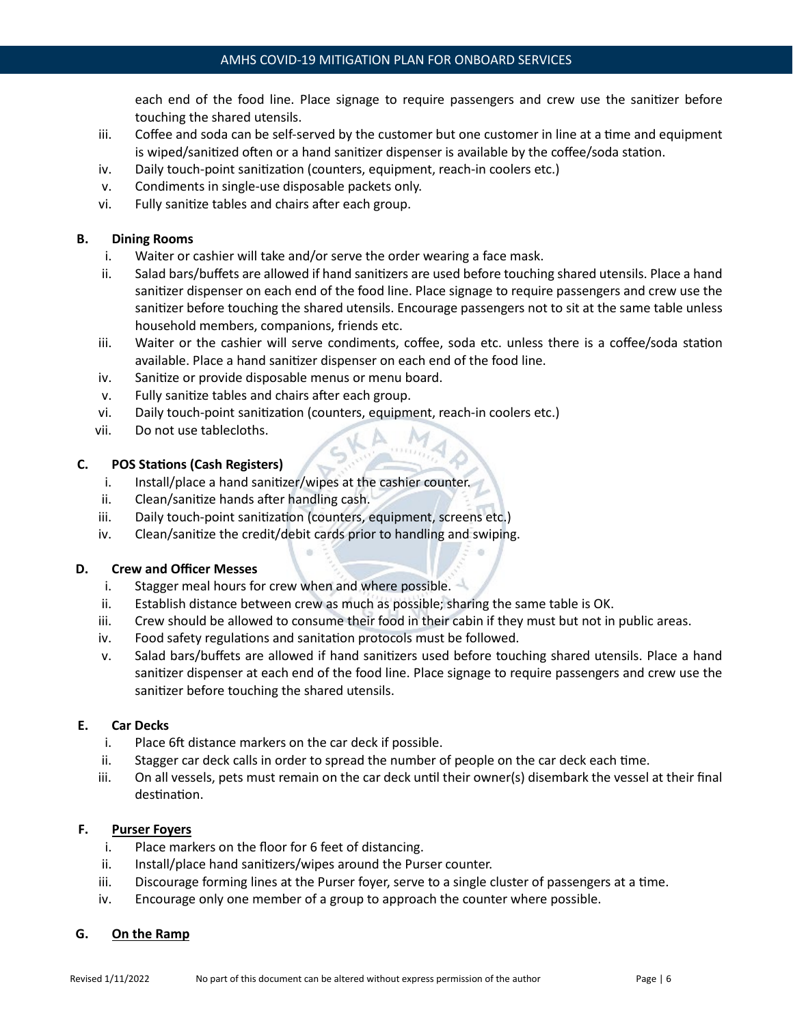each end of the food line. Place signage to require passengers and crew use the sanitizer before touching the shared utensils.

- iii. Coffee and soda can be self-served by the customer but one customer in line at a time and equipment is wiped/sanitized often or a hand sanitizer dispenser is available by the coffee/soda station.
- iv. Daily touch-point sanitization (counters, equipment, reach-in coolers etc.)
- v. Condiments in single-use disposable packets only.
- vi. Fully sanitize tables and chairs after each group.

## **B. Dining Rooms**

- i. Waiter or cashier will take and/or serve the order wearing a face mask.
- ii. Salad bars/buffets are allowed if hand sanitizers are used before touching shared utensils. Place a hand sanitizer dispenser on each end of the food line. Place signage to require passengers and crew use the sanitizer before touching the shared utensils. Encourage passengers not to sit at the same table unless household members, companions, friends etc.
- iii. Waiter or the cashier will serve condiments, coffee, soda etc. unless there is a coffee/soda station available. Place a hand sanitizer dispenser on each end of the food line.
- iv. Sanitize or provide disposable menus or menu board.
- v. Fully sanitize tables and chairs after each group.
- vi. Daily touch-point sanitization (counters, equipment, reach-in coolers etc.)
- vii. Do not use tablecloths.

## **C. POS Sta�ons (Cash Registers)**

- i. Install/place a hand sanitizer/wipes at the cashier counter.
- ii. Clean/sanitize hands after handling cash.
- iii. Daily touch-point sanitization (counters, equipment, screens etc.)
- iv. Clean/sanitize the credit/debit cards prior to handling and swiping.

### **D. Crew and Officer Messes**

- i. Stagger meal hours for crew when and where possible.
- ii. Establish distance between crew as much as possible; sharing the same table is OK.
- iii. Crew should be allowed to consume their food in their cabin if they must but not in public areas.
- iv. Food safety regulations and sanitation protocols must be followed.
- v. Salad bars/buffets are allowed if hand sani�zers used before touching shared utensils. Place a hand sanitizer dispenser at each end of the food line. Place signage to require passengers and crew use the sanitizer before touching the shared utensils.

### **E. Car Decks**

- i. Place 6ft distance markers on the car deck if possible.
- ii. Stagger car deck calls in order to spread the number of people on the car deck each time.
- iii. On all vessels, pets must remain on the car deck until their owner(s) disembark the vessel at their final destination.

### **F. Purser Foyers**

- i. Place markers on the floor for 6 feet of distancing.
- ii. Install/place hand sanitizers/wipes around the Purser counter.
- iii. Discourage forming lines at the Purser foyer, serve to a single cluster of passengers at a time.
- iv. Encourage only one member of a group to approach the counter where possible.

## **G. On the Ramp**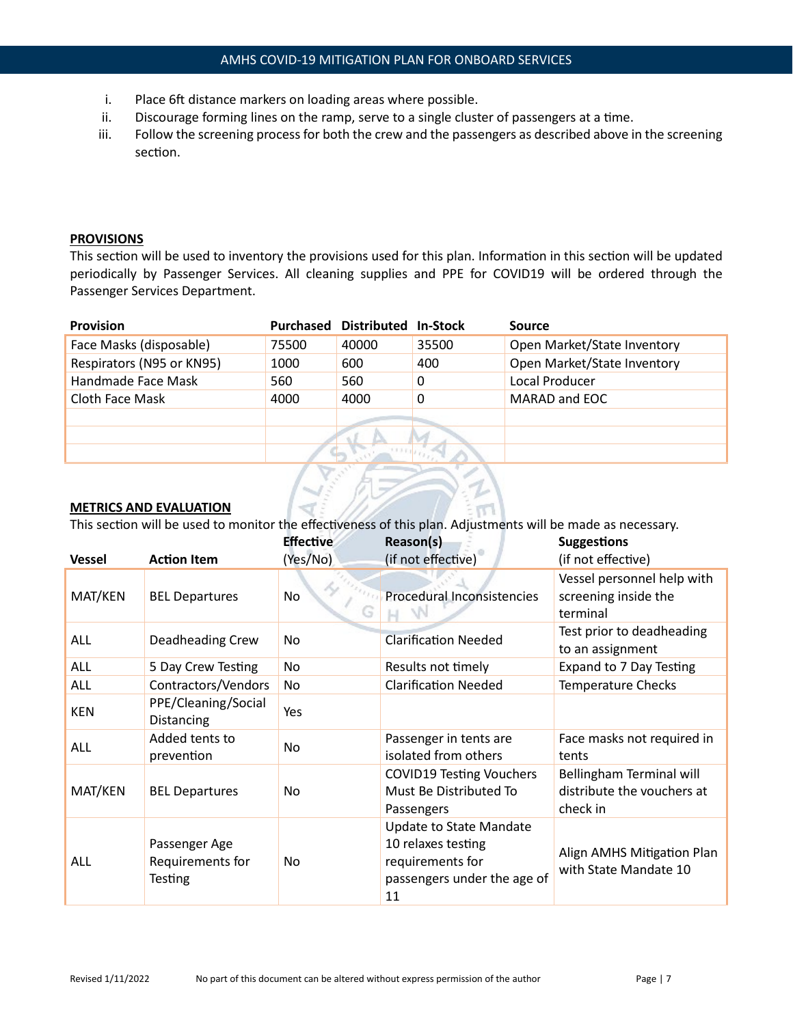- i. Place 6ft distance markers on loading areas where possible.
- ii. Discourage forming lines on the ramp, serve to a single cluster of passengers at a time.
- iii. Follow the screening process for both the crew and the passengers as described above in the screening section.

## **PROVISIONS**

This section will be used to inventory the provisions used for this plan. Information in this section will be updated periodically by Passenger Services. All cleaning supplies and PPE for COVID19 will be ordered through the Passenger Services Department.

| <b>Provision</b>          | Purchased | Distributed In-Stock |       | Source                      |
|---------------------------|-----------|----------------------|-------|-----------------------------|
| Face Masks (disposable)   | 75500     | 40000                | 35500 | Open Market/State Inventory |
| Respirators (N95 or KN95) | 1000      | 600                  | 400   | Open Market/State Inventory |
| Handmade Face Mask        | 560       | 560                  | 0     | Local Producer              |
| Cloth Face Mask           | 4000      | 4000                 | 0     | MARAD and EOC               |
|                           |           |                      |       |                             |
|                           |           |                      |       |                             |
|                           |           |                      |       |                             |

### **METRICS AND EVALUATION**

This section will be used to monitor the effectiveness of this plan. Adjustments will be made as necessary.

| <b>Vessel</b> | <b>Action Item</b>                                  | <b>Effective</b><br>(Yes/No) | Reason(s)<br>(if not effective)                                                                        | <b>Suggestions</b><br>(if not effective)                           |
|---------------|-----------------------------------------------------|------------------------------|--------------------------------------------------------------------------------------------------------|--------------------------------------------------------------------|
| MAT/KEN       | <b>BEL Departures</b>                               | No<br>G                      | Procedural Inconsistencies                                                                             | Vessel personnel help with<br>screening inside the<br>terminal     |
| ALL           | Deadheading Crew                                    | No                           | <b>Clarification Needed</b>                                                                            | Test prior to deadheading<br>to an assignment                      |
| <b>ALL</b>    | 5 Day Crew Testing                                  | No                           | Results not timely                                                                                     | Expand to 7 Day Testing                                            |
| ALL           | Contractors/Vendors                                 | No                           | <b>Clarification Needed</b>                                                                            | <b>Temperature Checks</b>                                          |
| <b>KEN</b>    | PPE/Cleaning/Social<br>Distancing                   | Yes                          |                                                                                                        |                                                                    |
| <b>ALL</b>    | Added tents to<br>prevention                        | No                           | Passenger in tents are<br>isolated from others                                                         | Face masks not required in<br>tents                                |
| MAT/KEN       | <b>BEL Departures</b>                               | No                           | <b>COVID19 Testing Vouchers</b><br>Must Be Distributed To<br>Passengers                                | Bellingham Terminal will<br>distribute the vouchers at<br>check in |
| ALL           | Passenger Age<br>Requirements for<br><b>Testing</b> | No                           | Update to State Mandate<br>10 relaxes testing<br>requirements for<br>passengers under the age of<br>11 | Align AMHS Mitigation Plan<br>with State Mandate 10                |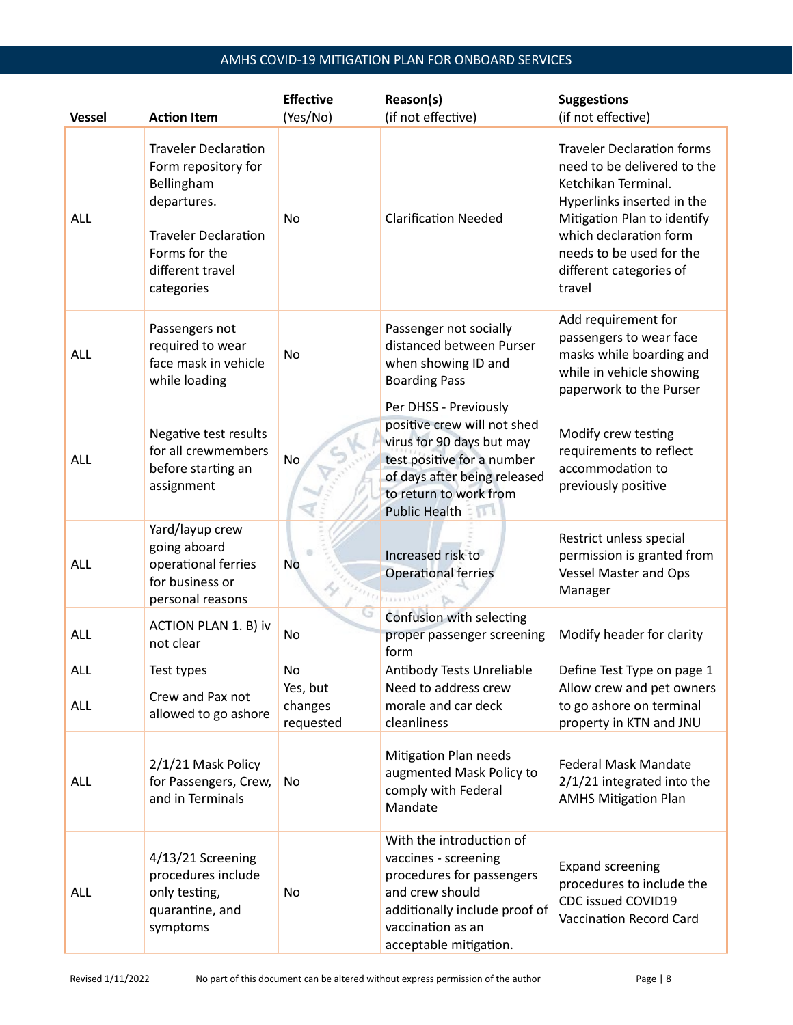# AMHS COVID-19 MITIGATION PLAN FOR ONBOARD SERVICES

|               |                                                                                                                                                                   | <b>Effective</b>                 | Reason(s)                                                                                                                                                                                         | <b>Suggestions</b>                                                                                                                                                                                                                              |
|---------------|-------------------------------------------------------------------------------------------------------------------------------------------------------------------|----------------------------------|---------------------------------------------------------------------------------------------------------------------------------------------------------------------------------------------------|-------------------------------------------------------------------------------------------------------------------------------------------------------------------------------------------------------------------------------------------------|
| <b>Vessel</b> | <b>Action Item</b>                                                                                                                                                | (Yes/No)                         | (if not effective)                                                                                                                                                                                | (if not effective)                                                                                                                                                                                                                              |
| ALL           | <b>Traveler Declaration</b><br>Form repository for<br>Bellingham<br>departures.<br><b>Traveler Declaration</b><br>Forms for the<br>different travel<br>categories | No                               | <b>Clarification Needed</b>                                                                                                                                                                       | <b>Traveler Declaration forms</b><br>need to be delivered to the<br>Ketchikan Terminal.<br>Hyperlinks inserted in the<br>Mitigation Plan to identify<br>which declaration form<br>needs to be used for the<br>different categories of<br>travel |
| ALL           | Passengers not<br>required to wear<br>face mask in vehicle<br>while loading                                                                                       | No                               | Passenger not socially<br>distanced between Purser<br>when showing ID and<br><b>Boarding Pass</b>                                                                                                 | Add requirement for<br>passengers to wear face<br>masks while boarding and<br>while in vehicle showing<br>paperwork to the Purser                                                                                                               |
| ALL           | Negative test results<br>for all crewmembers<br>before starting an<br>assignment                                                                                  | <b>No</b>                        | Per DHSS - Previously<br>positive crew will not shed<br>virus for 90 days but may<br>test positive for a number<br>of days after being released<br>to return to work from<br><b>Public Health</b> | Modify crew testing<br>requirements to reflect<br>accommodation to<br>previously positive                                                                                                                                                       |
| <b>ALL</b>    | Yard/layup crew<br>going aboard<br>operational ferries<br>for business or<br>personal reasons                                                                     | <b>No</b>                        | Increased risk to<br><b>Operational ferries</b><br><b>TABLES</b>                                                                                                                                  | Restrict unless special<br>permission is granted from<br><b>Vessel Master and Ops</b><br>Manager                                                                                                                                                |
| <b>ALL</b>    | ACTION PLAN 1. B) iv<br>not clear                                                                                                                                 | No                               | Confusion with selecting<br>proper passenger screening<br>form                                                                                                                                    | Modify header for clarity                                                                                                                                                                                                                       |
| ALL           | Test types                                                                                                                                                        | No                               | Antibody Tests Unreliable                                                                                                                                                                         | Define Test Type on page 1                                                                                                                                                                                                                      |
| ALL           | Crew and Pax not<br>allowed to go ashore                                                                                                                          | Yes, but<br>changes<br>requested | Need to address crew<br>morale and car deck<br>cleanliness                                                                                                                                        | Allow crew and pet owners<br>to go ashore on terminal<br>property in KTN and JNU                                                                                                                                                                |
| ALL           | 2/1/21 Mask Policy<br>for Passengers, Crew,<br>and in Terminals                                                                                                   | No                               | Mitigation Plan needs<br>augmented Mask Policy to<br>comply with Federal<br>Mandate                                                                                                               | <b>Federal Mask Mandate</b><br>2/1/21 integrated into the<br><b>AMHS Mitigation Plan</b>                                                                                                                                                        |
| <b>ALL</b>    | 4/13/21 Screening<br>procedures include<br>only testing,<br>quarantine, and<br>symptoms                                                                           | No                               | With the introduction of<br>vaccines - screening<br>procedures for passengers<br>and crew should<br>additionally include proof of<br>vaccination as an<br>acceptable mitigation.                  | <b>Expand screening</b><br>procedures to include the<br>CDC issued COVID19<br>Vaccination Record Card                                                                                                                                           |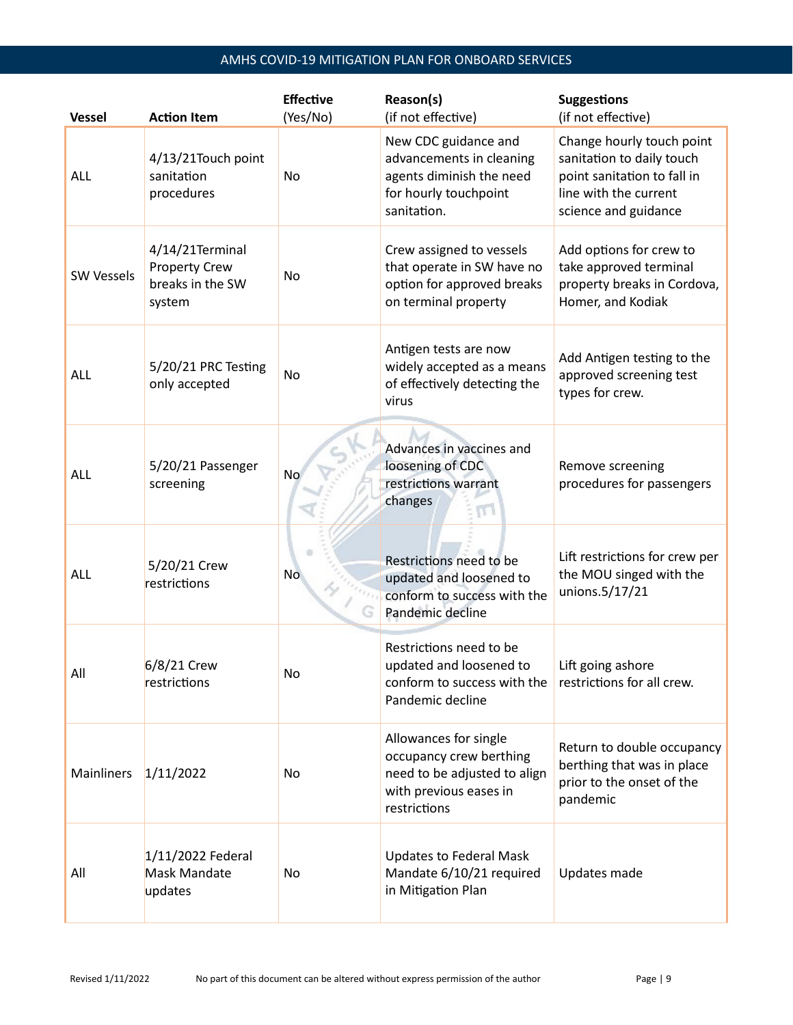# AMHS COVID-19 MITIGATION PLAN FOR ONBOARD SERVICES

| <b>Vessel</b>     | <b>Action Item</b>                                                    | <b>Effective</b><br>(Yes/No) | Reason(s)<br>(if not effective)                                                                                            | <b>Suggestions</b><br>(if not effective)                                                                                               |
|-------------------|-----------------------------------------------------------------------|------------------------------|----------------------------------------------------------------------------------------------------------------------------|----------------------------------------------------------------------------------------------------------------------------------------|
| <b>ALL</b>        | 4/13/21Touch point<br>sanitation<br>procedures                        | No                           | New CDC guidance and<br>advancements in cleaning<br>agents diminish the need<br>for hourly touchpoint<br>sanitation.       | Change hourly touch point<br>sanitation to daily touch<br>point sanitation to fall in<br>line with the current<br>science and guidance |
| <b>SW Vessels</b> | 4/14/21Terminal<br><b>Property Crew</b><br>breaks in the SW<br>system | No                           | Crew assigned to vessels<br>that operate in SW have no<br>option for approved breaks<br>on terminal property               | Add options for crew to<br>take approved terminal<br>property breaks in Cordova,<br>Homer, and Kodiak                                  |
| <b>ALL</b>        | 5/20/21 PRC Testing<br>only accepted                                  | No                           | Antigen tests are now<br>widely accepted as a means<br>of effectively detecting the<br>virus                               | Add Antigen testing to the<br>approved screening test<br>types for crew.                                                               |
| ALL               | 5/20/21 Passenger<br>screening                                        | No                           | Advances in vaccines and<br>loosening of CDC<br>restrictions warrant<br>changes<br>m                                       | Remove screening<br>procedures for passengers                                                                                          |
| <b>ALL</b>        | 5/20/21 Crew<br>restrictions                                          | <b>No</b>                    | Restrictions need to be<br>updated and loosened to<br>conform to success with the<br>Pandemic decline                      | Lift restrictions for crew per<br>the MOU singed with the<br>unions.5/17/21                                                            |
| All               | 6/8/21 Crew<br>restrictions                                           | No.                          | Restrictions need to be<br>updated and loosened to<br>conform to success with the<br>Pandemic decline                      | Lift going ashore<br>restrictions for all crew.                                                                                        |
| Mainliners        | 1/11/2022                                                             | No                           | Allowances for single<br>occupancy crew berthing<br>need to be adjusted to align<br>with previous eases in<br>restrictions | Return to double occupancy<br>berthing that was in place<br>prior to the onset of the<br>pandemic                                      |
| All               | 1/11/2022 Federal<br>Mask Mandate<br>updates                          | No                           | <b>Updates to Federal Mask</b><br>Mandate 6/10/21 required<br>in Mitigation Plan                                           | Updates made                                                                                                                           |